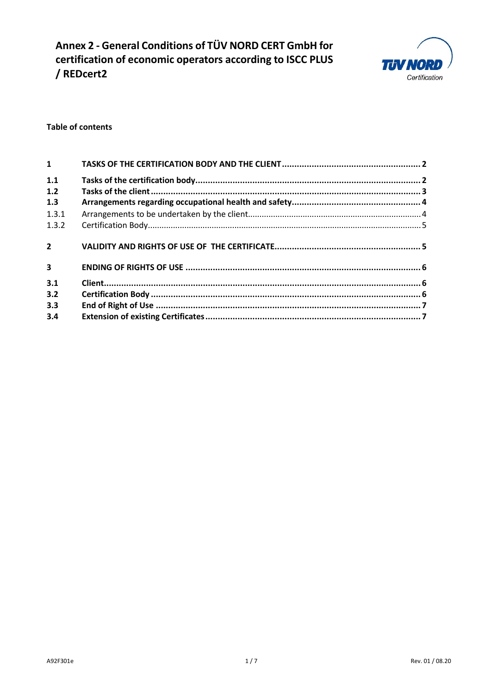**Annex 2 - General Conditions of TÜV NORD CERT GmbH for certification of economic operators according to ISCC PLUS / REDcert2** 



### **Table of contents**

| $\mathbf{1}$            |  |
|-------------------------|--|
| 1.1                     |  |
| 1.2                     |  |
| 1.3                     |  |
| 1.3.1                   |  |
| 1.3.2                   |  |
| $2^{\circ}$             |  |
| $\overline{\mathbf{3}}$ |  |
| 3.1                     |  |
| 3.2                     |  |
| 3.3                     |  |
| 3.4                     |  |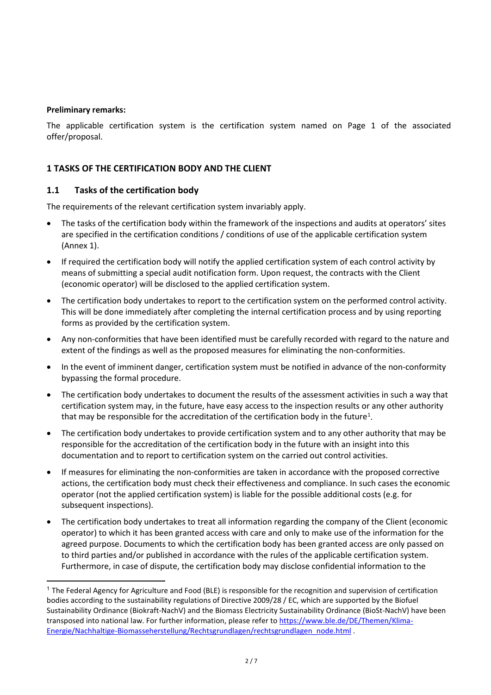#### **Preliminary remarks:**

The applicable certification system is the certification system named on Page 1 of the associated offer/proposal.

## **1 TASKS OF THE CERTIFICATION BODY AND THE CLIENT**

### **1.1 Tasks of the certification body**

The requirements of the relevant certification system invariably apply.

- The tasks of the certification body within the framework of the inspections and audits at operators' sites are specified in the certification conditions / conditions of use of the applicable certification system (Annex 1).
- If required the certification body will notify the applied certification system of each control activity by means of submitting a special audit notification form. Upon request, the contracts with the Client (economic operator) will be disclosed to the applied certification system.
- The certification body undertakes to report to the certification system on the performed control activity. This will be done immediately after completing the internal certification process and by using reporting forms as provided by the certification system.
- Any non-conformities that have been identified must be carefully recorded with regard to the nature and extent of the findings as well as the proposed measures for eliminating the non-conformities.
- In the event of imminent danger, certification system must be notified in advance of the non-conformity bypassing the formal procedure.
- The certification body undertakes to document the results of the assessment activities in such a way that certification system may, in the future, have easy access to the inspection results or any other authority that may be responsible for the accreditation of the certification body in the future<sup>[1](#page-1-0)</sup>.
- The certification body undertakes to provide certification system and to any other authority that may be responsible for the accreditation of the certification body in the future with an insight into this documentation and to report to certification system on the carried out control activities.
- If measures for eliminating the non-conformities are taken in accordance with the proposed corrective actions, the certification body must check their effectiveness and compliance. In such cases the economic operator (not the applied certification system) is liable for the possible additional costs (e.g. for subsequent inspections).
- The certification body undertakes to treat all information regarding the company of the Client (economic operator) to which it has been granted access with care and only to make use of the information for the agreed purpose. Documents to which the certification body has been granted access are only passed on to third parties and/or published in accordance with the rules of the applicable certification system. Furthermore, in case of dispute, the certification body may disclose confidential information to the

<span id="page-1-0"></span><sup>&</sup>lt;sup>1</sup> The Federal Agency for Agriculture and Food (BLE) is responsible for the recognition and supervision of certification bodies according to the sustainability regulations of Directive 2009/28 / EC, which are supported by the Biofuel Sustainability Ordinance (Biokraft-NachV) and the Biomass Electricity Sustainability Ordinance (BioSt-NachV) have been transposed into national law. For further information, please refer to [https://www.ble.de/DE/Themen/Klima-](https://www.ble.de/DE/Themen/Klima-Energie/Nachhaltige-Biomasseherstellung/Rechtsgrundlagen/rechtsgrundlagen_node.html)[Energie/Nachhaltige-Biomasseherstellung/Rechtsgrundlagen/rechtsgrundlagen\\_node.html](https://www.ble.de/DE/Themen/Klima-Energie/Nachhaltige-Biomasseherstellung/Rechtsgrundlagen/rechtsgrundlagen_node.html) .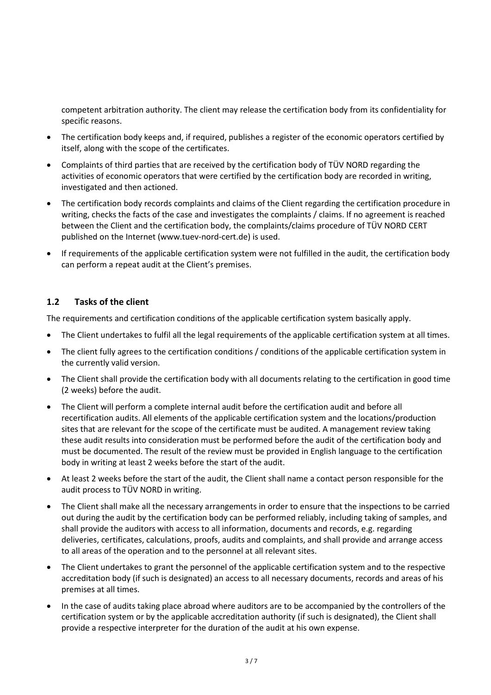competent arbitration authority. The client may release the certification body from its confidentiality for specific reasons.

- The certification body keeps and, if required, publishes a register of the economic operators certified by itself, along with the scope of the certificates.
- Complaints of third parties that are received by the certification body of TÜV NORD regarding the activities of economic operators that were certified by the certification body are recorded in writing, investigated and then actioned.
- The certification body records complaints and claims of the Client regarding the certification procedure in writing, checks the facts of the case and investigates the complaints / claims. If no agreement is reached between the Client and the certification body, the complaints/claims procedure of TÜV NORD CERT published on the Internet (www.tuev-nord-cert.de) is used.
- If requirements of the applicable certification system were not fulfilled in the audit, the certification body can perform a repeat audit at the Client's premises.

## **1.2 Tasks of the client**

The requirements and certification conditions of the applicable certification system basically apply.

- The Client undertakes to fulfil all the legal requirements of the applicable certification system at all times.
- The client fully agrees to the certification conditions / conditions of the applicable certification system in the currently valid version.
- The Client shall provide the certification body with all documents relating to the certification in good time (2 weeks) before the audit.
- The Client will perform a complete internal audit before the certification audit and before all recertification audits. All elements of the applicable certification system and the locations/production sites that are relevant for the scope of the certificate must be audited. A management review taking these audit results into consideration must be performed before the audit of the certification body and must be documented. The result of the review must be provided in English language to the certification body in writing at least 2 weeks before the start of the audit.
- At least 2 weeks before the start of the audit, the Client shall name a contact person responsible for the audit process to TÜV NORD in writing.
- The Client shall make all the necessary arrangements in order to ensure that the inspections to be carried out during the audit by the certification body can be performed reliably, including taking of samples, and shall provide the auditors with access to all information, documents and records, e.g. regarding deliveries, certificates, calculations, proofs, audits and complaints, and shall provide and arrange access to all areas of the operation and to the personnel at all relevant sites.
- The Client undertakes to grant the personnel of the applicable certification system and to the respective accreditation body (if such is designated) an access to all necessary documents, records and areas of his premises at all times.
- In the case of audits taking place abroad where auditors are to be accompanied by the controllers of the certification system or by the applicable accreditation authority (if such is designated), the Client shall provide a respective interpreter for the duration of the audit at his own expense.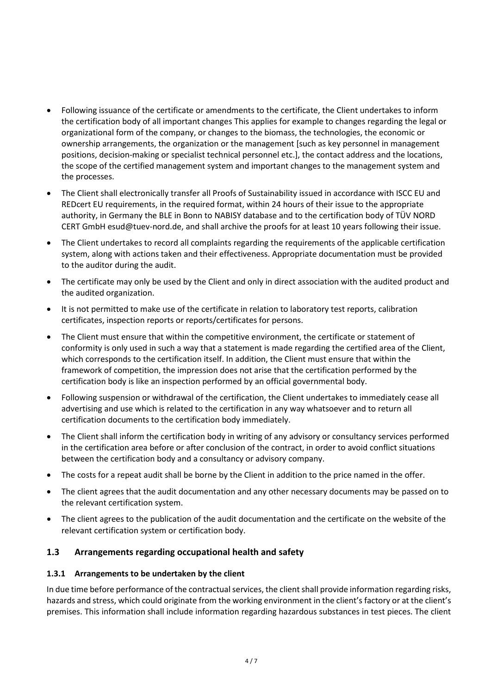- Following issuance of the certificate or amendments to the certificate, the Client undertakes to inform the certification body of all important changes This applies for example to changes regarding the legal or organizational form of the company, or changes to the biomass, the technologies, the economic or ownership arrangements, the organization or the management [such as key personnel in management positions, decision-making or specialist technical personnel etc.], the contact address and the locations, the scope of the certified management system and important changes to the management system and the processes.
- The Client shall electronically transfer all Proofs of Sustainability issued in accordance with ISCC EU and REDcert EU requirements, in the required format, within 24 hours of their issue to the appropriate authority, in Germany the BLE in Bonn to NABISY database and to the certification body of TÜV NORD CERT GmbH esud@tuev-nord.de, and shall archive the proofs for at least 10 years following their issue.
- The Client undertakes to record all complaints regarding the requirements of the applicable certification system, along with actions taken and their effectiveness. Appropriate documentation must be provided to the auditor during the audit.
- The certificate may only be used by the Client and only in direct association with the audited product and the audited organization.
- It is not permitted to make use of the certificate in relation to laboratory test reports, calibration certificates, inspection reports or reports/certificates for persons.
- The Client must ensure that within the competitive environment, the certificate or statement of conformity is only used in such a way that a statement is made regarding the certified area of the Client, which corresponds to the certification itself. In addition, the Client must ensure that within the framework of competition, the impression does not arise that the certification performed by the certification body is like an inspection performed by an official governmental body.
- Following suspension or withdrawal of the certification, the Client undertakes to immediately cease all advertising and use which is related to the certification in any way whatsoever and to return all certification documents to the certification body immediately.
- The Client shall inform the certification body in writing of any advisory or consultancy services performed in the certification area before or after conclusion of the contract, in order to avoid conflict situations between the certification body and a consultancy or advisory company.
- The costs for a repeat audit shall be borne by the Client in addition to the price named in the offer.
- The client agrees that the audit documentation and any other necessary documents may be passed on to the relevant certification system.
- The client agrees to the publication of the audit documentation and the certificate on the website of the relevant certification system or certification body.

### **1.3 Arrangements regarding occupational health and safety**

#### **1.3.1 Arrangements to be undertaken by the client**

In due time before performance of the contractual services, the client shall provide information regarding risks, hazards and stress, which could originate from the working environment in the client's factory or at the client's premises. This information shall include information regarding hazardous substances in test pieces. The client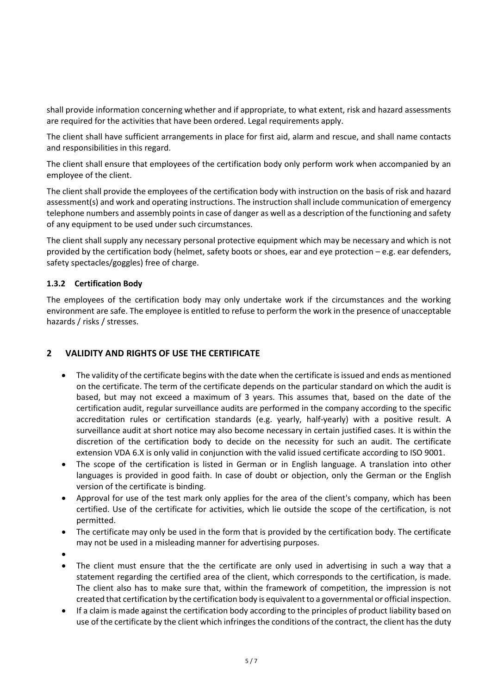shall provide information concerning whether and if appropriate, to what extent, risk and hazard assessments are required for the activities that have been ordered. Legal requirements apply.

The client shall have sufficient arrangements in place for first aid, alarm and rescue, and shall name contacts and responsibilities in this regard.

The client shall ensure that employees of the certification body only perform work when accompanied by an employee of the client.

The client shall provide the employees of the certification body with instruction on the basis of risk and hazard assessment(s) and work and operating instructions. The instruction shall include communication of emergency telephone numbers and assembly points in case of danger as well as a description of the functioning and safety of any equipment to be used under such circumstances.

The client shall supply any necessary personal protective equipment which may be necessary and which is not provided by the certification body (helmet, safety boots or shoes, ear and eye protection – e.g. ear defenders, safety spectacles/goggles) free of charge.

### **1.3.2 Certification Body**

The employees of the certification body may only undertake work if the circumstances and the working environment are safe. The employee is entitled to refuse to perform the work in the presence of unacceptable hazards / risks / stresses.

### **2 VALIDITY AND RIGHTS OF USE THE CERTIFICATE**

- The validity of the certificate begins with the date when the certificate is issued and ends as mentioned on the certificate. The term of the certificate depends on the particular standard on which the audit is based, but may not exceed a maximum of 3 years. This assumes that, based on the date of the certification audit, regular surveillance audits are performed in the company according to the specific accreditation rules or certification standards (e.g. yearly, half-yearly) with a positive result. A surveillance audit at short notice may also become necessary in certain justified cases. It is within the discretion of the certification body to decide on the necessity for such an audit. The certificate extension VDA 6.X is only valid in conjunction with the valid issued certificate according to ISO 9001.
- The scope of the certification is listed in German or in English language. A translation into other languages is provided in good faith. In case of doubt or objection, only the German or the English version of the certificate is binding.
- Approval for use of the test mark only applies for the area of the client's company, which has been certified. Use of the certificate for activities, which lie outside the scope of the certification, is not permitted.
- The certificate may only be used in the form that is provided by the certification body. The certificate may not be used in a misleading manner for advertising purposes.
- •
- The client must ensure that the the certificate are only used in advertising in such a way that a statement regarding the certified area of the client, which corresponds to the certification, is made. The client also has to make sure that, within the framework of competition, the impression is not created that certification by the certification body is equivalent to a governmental or official inspection.
- If a claim is made against the certification body according to the principles of product liability based on use of the certificate by the client which infringes the conditions of the contract, the client has the duty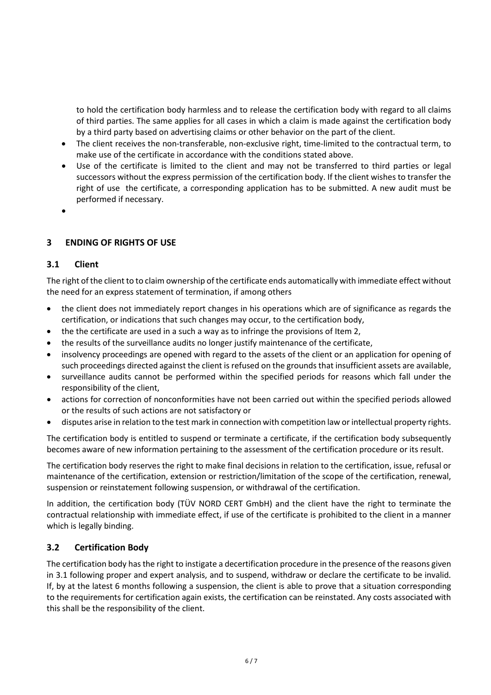to hold the certification body harmless and to release the certification body with regard to all claims of third parties. The same applies for all cases in which a claim is made against the certification body by a third party based on advertising claims or other behavior on the part of the client.

- The client receives the non-transferable, non-exclusive right, time-limited to the contractual term, to make use of the certificate in accordance with the conditions stated above.
- Use of the certificate is limited to the client and may not be transferred to third parties or legal successors without the express permission of the certification body. If the client wishes to transfer the right of use the certificate, a corresponding application has to be submitted. A new audit must be performed if necessary.
- •

## **3 ENDING OF RIGHTS OF USE**

#### **3.1 Client**

The right of the client to to claim ownership of the certificate ends automatically with immediate effect without the need for an express statement of termination, if among others

- the client does not immediately report changes in his operations which are of significance as regards the certification, or indications that such changes may occur, to the certification body,
- the the certificate are used in a such a way as to infringe the provisions of Item 2,
- the results of the surveillance audits no longer justify maintenance of the certificate,
- insolvency proceedings are opened with regard to the assets of the client or an application for opening of such proceedings directed against the client is refused on the grounds that insufficient assets are available,
- surveillance audits cannot be performed within the specified periods for reasons which fall under the responsibility of the client,
- actions for correction of nonconformities have not been carried out within the specified periods allowed or the results of such actions are not satisfactory or
- disputes arise in relation to the test mark in connection with competition law or intellectual property rights.

The certification body is entitled to suspend or terminate a certificate, if the certification body subsequently becomes aware of new information pertaining to the assessment of the certification procedure or its result.

The certification body reserves the right to make final decisions in relation to the certification, issue, refusal or maintenance of the certification, extension or restriction/limitation of the scope of the certification, renewal, suspension or reinstatement following suspension, or withdrawal of the certification.

In addition, the certification body (TÜV NORD CERT GmbH) and the client have the right to terminate the contractual relationship with immediate effect, if use of the certificate is prohibited to the client in a manner which is legally binding.

### **3.2 Certification Body**

The certification body has the right to instigate a decertification procedure in the presence of the reasons given in 3.1 following proper and expert analysis, and to suspend, withdraw or declare the certificate to be invalid. If, by at the latest 6 months following a suspension, the client is able to prove that a situation corresponding to the requirements for certification again exists, the certification can be reinstated. Any costs associated with this shall be the responsibility of the client.